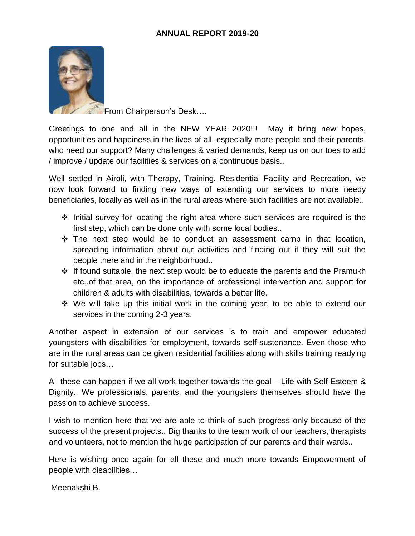

From Chairperson's Desk….

Greetings to one and all in the NEW YEAR 2020!!! May it bring new hopes, opportunities and happiness in the lives of all, especially more people and their parents, who need our support? Many challenges & varied demands, keep us on our toes to add / improve / update our facilities & services on a continuous basis..

Well settled in Airoli, with Therapy, Training, Residential Facility and Recreation, we now look forward to finding new ways of extending our services to more needy beneficiaries, locally as well as in the rural areas where such facilities are not available..

- $\cdot$  Initial survey for locating the right area where such services are required is the first step, which can be done only with some local bodies..
- $\cdot \cdot$  The next step would be to conduct an assessment camp in that location, spreading information about our activities and finding out if they will suit the people there and in the neighborhood..
- $\div$  If found suitable, the next step would be to educate the parents and the Pramukh etc..of that area, on the importance of professional intervention and support for children & adults with disabilities, towards a better life.
- $\div$  We will take up this initial work in the coming year, to be able to extend our services in the coming 2-3 years.

Another aspect in extension of our services is to train and empower educated youngsters with disabilities for employment, towards self-sustenance. Even those who are in the rural areas can be given residential facilities along with skills training readying for suitable jobs…

All these can happen if we all work together towards the goal – Life with Self Esteem & Dignity.. We professionals, parents, and the youngsters themselves should have the passion to achieve success.

I wish to mention here that we are able to think of such progress only because of the success of the present projects.. Big thanks to the team work of our teachers, therapists and volunteers, not to mention the huge participation of our parents and their wards..

Here is wishing once again for all these and much more towards Empowerment of people with disabilities…

Meenakshi B.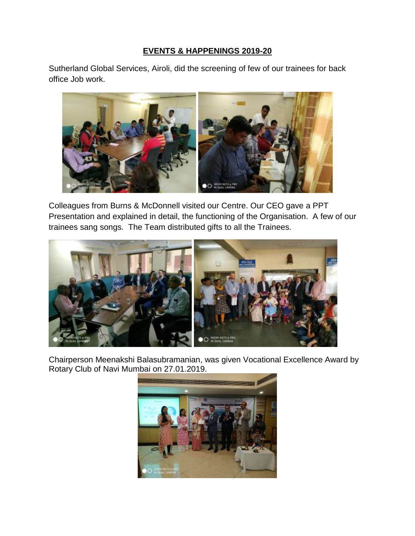## **EVENTS & HAPPENINGS 2019-20**

Sutherland Global Services, Airoli, did the screening of few of our trainees for back office Job work.



Colleagues from Burns & McDonnell visited our Centre. Our CEO gave a PPT Presentation and explained in detail, the functioning of the Organisation. A few of our trainees sang songs. The Team distributed gifts to all the Trainees.



Chairperson Meenakshi Balasubramanian, was given Vocational Excellence Award by Rotary Club of Navi Mumbai on 27.01.2019.

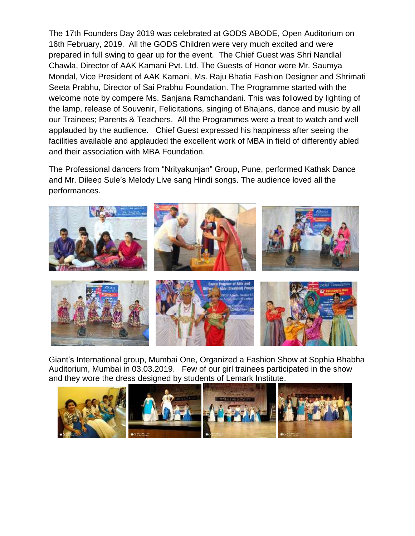The 17th Founders Day 2019 was celebrated at GODS ABODE, Open Auditorium on 16th February, 2019. All the GODS Children were very much excited and were prepared in full swing to gear up for the event. The Chief Guest was Shri Nandlal Chawla, Director of AAK Kamani Pvt. Ltd. The Guests of Honor were Mr. Saumya Mondal, Vice President of AAK Kamani, Ms. Raju Bhatia Fashion Designer and Shrimati Seeta Prabhu, Director of Sai Prabhu Foundation. The Programme started with the welcome note by compere Ms. Sanjana Ramchandani. This was followed by lighting of the lamp, release of Souvenir, Felicitations, singing of Bhajans, dance and music by all our Trainees; Parents & Teachers. All the Programmes were a treat to watch and well applauded by the audience. Chief Guest expressed his happiness after seeing the facilities available and applauded the excellent work of MBA in field of differently abled and their association with MBA Foundation.

The Professional dancers from "Nrityakunjan" Group, Pune, performed Kathak Dance and Mr. Dileep Sule's Melody Live sang Hindi songs. The audience loved all the performances.



Giant's International group, Mumbai One, Organized a Fashion Show at Sophia Bhabha Auditorium, Mumbai in 03.03.2019. Few of our girl trainees participated in the show and they wore the dress designed by students of Lemark Institute.

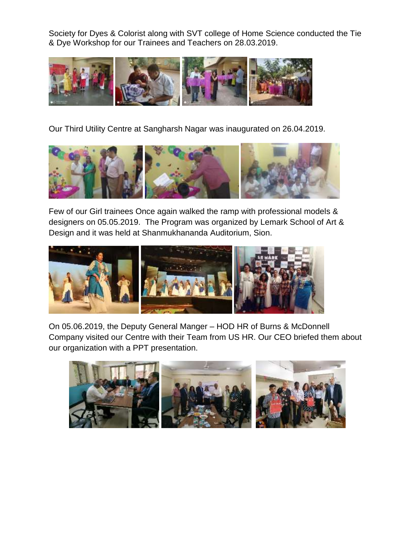Society for Dyes & Colorist along with SVT college of Home Science conducted the Tie & Dye Workshop for our Trainees and Teachers on 28.03.2019.



Our Third Utility Centre at Sangharsh Nagar was inaugurated on 26.04.2019.



Few of our Girl trainees Once again walked the ramp with professional models & designers on 05.05.2019. The Program was organized by Lemark School of Art & Design and it was held at Shanmukhananda Auditorium, Sion.



On 05.06.2019, the Deputy General Manger – HOD HR of Burns & McDonnell Company visited our Centre with their Team from US HR. Our CEO briefed them about our organization with a PPT presentation.

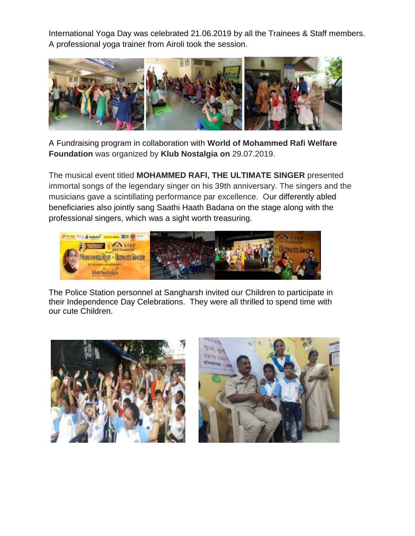International Yoga Day was celebrated 21.06.2019 by all the Trainees & Staff members. A professional yoga trainer from Airoli took the session.



A Fundraising program in collaboration with **World of Mohammed Rafi Welfare Foundation** was organized by **Klub Nostalgia on** 29.07.2019.

The musical event titled **MOHAMMED RAFI, THE ULTIMATE SINGER** presented immortal songs of the legendary singer on his 39th anniversary. The singers and the musicians gave a scintillating performance par excellence. Our differently abled beneficiaries also jointly sang Saathi Haath Badana on the stage along with the professional singers, which was a sight worth treasuring.



The Police Station personnel at Sangharsh invited our Children to participate in their Independence Day Celebrations. They were all thrilled to spend time with our cute Children.



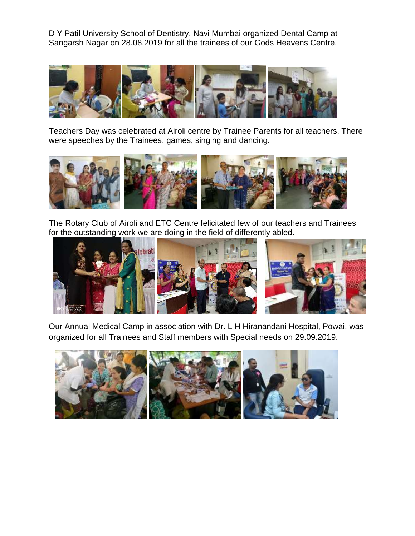D Y Patil University School of Dentistry, Navi Mumbai organized Dental Camp at Sangarsh Nagar on 28.08.2019 for all the trainees of our Gods Heavens Centre.



Teachers Day was celebrated at Airoli centre by Trainee Parents for all teachers. There were speeches by the Trainees, games, singing and dancing.



The Rotary Club of Airoli and ETC Centre felicitated few of our teachers and Trainees for the outstanding work we are doing in the field of differently abled.



Our Annual Medical Camp in association with Dr. L H Hiranandani Hospital, Powai, was organized for all Trainees and Staff members with Special needs on 29.09.2019.

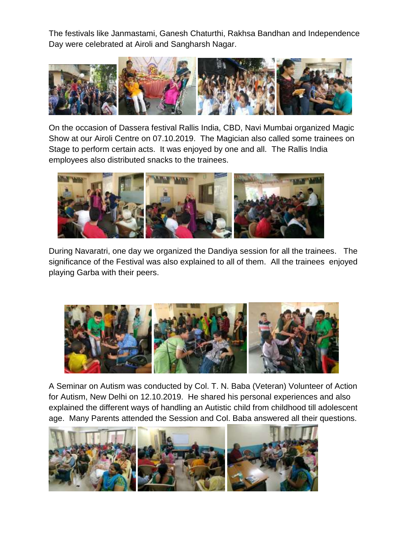The festivals like Janmastami, Ganesh Chaturthi, Rakhsa Bandhan and Independence Day were celebrated at Airoli and Sangharsh Nagar.



On the occasion of Dassera festival Rallis India, CBD, Navi Mumbai organized Magic Show at our Airoli Centre on 07.10.2019. The Magician also called some trainees on Stage to perform certain acts. It was enjoyed by one and all. The Rallis India employees also distributed snacks to the trainees.



During Navaratri, one day we organized the Dandiya session for all the trainees. The significance of the Festival was also explained to all of them. All the trainees enjoyed playing Garba with their peers.



A Seminar on Autism was conducted by Col. T. N. Baba (Veteran) Volunteer of Action for Autism, New Delhi on 12.10.2019. He shared his personal experiences and also explained the different ways of handling an Autistic child from childhood till adolescent age. Many Parents attended the Session and Col. Baba answered all their questions.

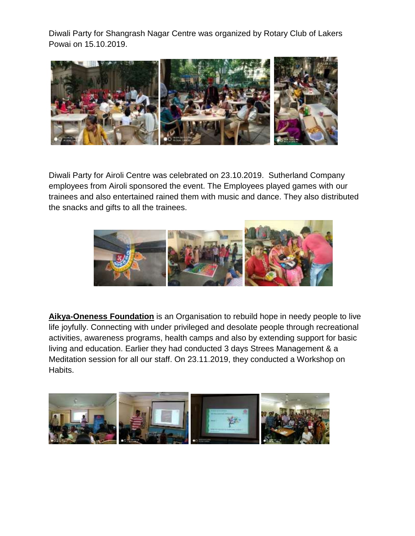Diwali Party for Shangrash Nagar Centre was organized by Rotary Club of Lakers Powai on 15.10.2019.



Diwali Party for Airoli Centre was celebrated on 23.10.2019. Sutherland Company employees from Airoli sponsored the event. The Employees played games with our trainees and also entertained rained them with music and dance. They also distributed the snacks and gifts to all the trainees.



**Aikya-Oneness Foundation** is an Organisation to rebuild hope in needy people to live life joyfully. Connecting with under privileged and desolate people through recreational activities, awareness programs, health camps and also by extending support for basic living and education. Earlier they had conducted 3 days Strees Management & a Meditation session for all our staff. On 23.11.2019, they conducted a Workshop on Habits.

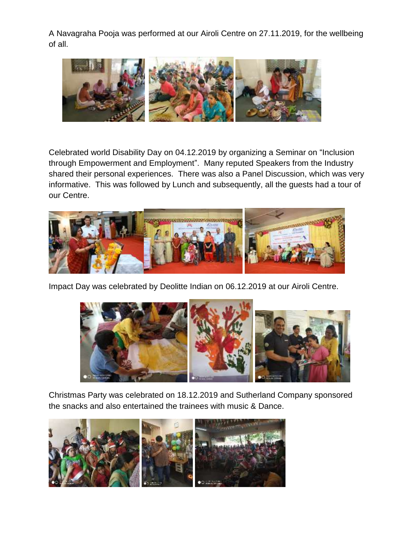A Navagraha Pooja was performed at our Airoli Centre on 27.11.2019, for the wellbeing of all.



Celebrated world Disability Day on 04.12.2019 by organizing a Seminar on "Inclusion through Empowerment and Employment". Many reputed Speakers from the Industry shared their personal experiences. There was also a Panel Discussion, which was very informative. This was followed by Lunch and subsequently, all the guests had a tour of our Centre.



Impact Day was celebrated by Deolitte Indian on 06.12.2019 at our Airoli Centre.



Christmas Party was celebrated on 18.12.2019 and Sutherland Company sponsored the snacks and also entertained the trainees with music & Dance.

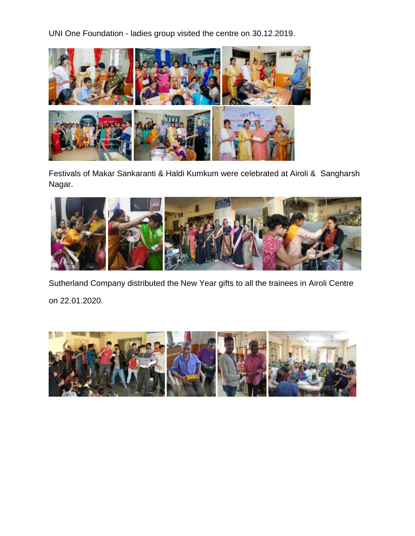UNI One Foundation - ladies group visited the centre on 30.12.2019.



Festivals of Makar Sankaranti & Haldi Kumkum were celebrated at Airoli & Sangharsh Nagar.



Sutherland Company distributed the New Year gifts to all the trainees in Airoli Centre on 22.01.2020.

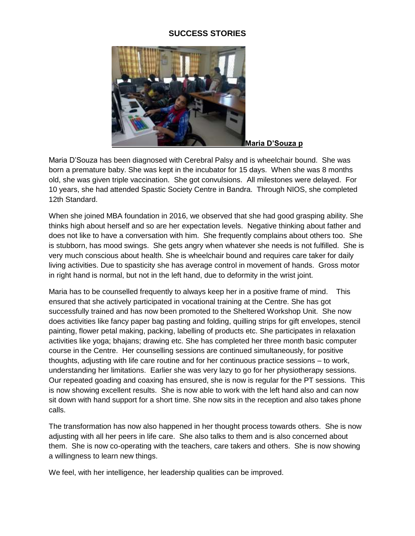## **SUCCESS STORIES**



Maria D'Souza has been diagnosed with Cerebral Palsy and is wheelchair bound. She was born a premature baby. She was kept in the incubator for 15 days. When she was 8 months old, she was given triple vaccination. She got convulsions. All milestones were delayed. For 10 years, she had attended Spastic Society Centre in Bandra. Through NIOS, she completed 12th Standard.

When she joined MBA foundation in 2016, we observed that she had good grasping ability. She thinks high about herself and so are her expectation levels. Negative thinking about father and does not like to have a conversation with him. She frequently complains about others too. She is stubborn, has mood swings. She gets angry when whatever she needs is not fulfilled. She is very much conscious about health. She is wheelchair bound and requires care taker for daily living activities. Due to spasticity she has average control in movement of hands. Gross motor in right hand is normal, but not in the left hand, due to deformity in the wrist joint.

Maria has to be counselled frequently to always keep her in a positive frame of mind. This ensured that she actively participated in vocational training at the Centre. She has got successfully trained and has now been promoted to the Sheltered Workshop Unit. She now does activities like fancy paper bag pasting and folding, quilling strips for gift envelopes, stencil painting, flower petal making, packing, labelling of products etc. She participates in relaxation activities like yoga; bhajans; drawing etc. She has completed her three month basic computer course in the Centre. Her counselling sessions are continued simultaneously, for positive thoughts, adjusting with life care routine and for her continuous practice sessions – to work, understanding her limitations. Earlier she was very lazy to go for her physiotherapy sessions. Our repeated goading and coaxing has ensured, she is now is regular for the PT sessions. This is now showing excellent results. She is now able to work with the left hand also and can now sit down with hand support for a short time. She now sits in the reception and also takes phone calls.

The transformation has now also happened in her thought process towards others. She is now adjusting with all her peers in life care. She also talks to them and is also concerned about them. She is now co-operating with the teachers, care takers and others. She is now showing a willingness to learn new things.

We feel, with her intelligence, her leadership qualities can be improved.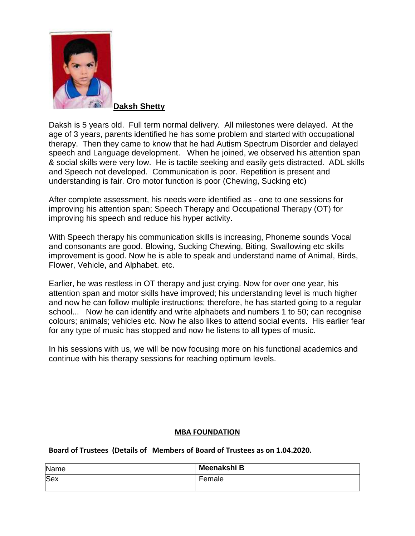

**Daksh Shetty**

Daksh is 5 years old. Full term normal delivery. All milestones were delayed. At the age of 3 years, parents identified he has some problem and started with occupational therapy. Then they came to know that he had Autism Spectrum Disorder and delayed speech and Language development. When he joined, we observed his attention span & social skills were very low. He is tactile seeking and easily gets distracted. ADL skills and Speech not developed. Communication is poor. Repetition is present and understanding is fair. Oro motor function is poor (Chewing, Sucking etc)

After complete assessment, his needs were identified as - one to one sessions for improving his attention span; Speech Therapy and Occupational Therapy (OT) for improving his speech and reduce his hyper activity.

With Speech therapy his communication skills is increasing, Phoneme sounds Vocal and consonants are good. Blowing, Sucking Chewing, Biting, Swallowing etc skills improvement is good. Now he is able to speak and understand name of Animal, Birds, Flower, Vehicle, and Alphabet. etc.

Earlier, he was restless in OT therapy and just crying. Now for over one year, his attention span and motor skills have improved; his understanding level is much higher and now he can follow multiple instructions; therefore, he has started going to a regular school... Now he can identify and write alphabets and numbers 1 to 50; can recognise colours; animals; vehicles etc. Now he also likes to attend social events. His earlier fear for any type of music has stopped and now he listens to all types of music.

In his sessions with us, we will be now focusing more on his functional academics and continue with his therapy sessions for reaching optimum levels.

## **MBA FOUNDATION**

**Board of Trustees (Details of Members of Board of Trustees as on 1.04.2020.**

| Name       | Meenakshi B |
|------------|-------------|
| <b>Sex</b> | Female      |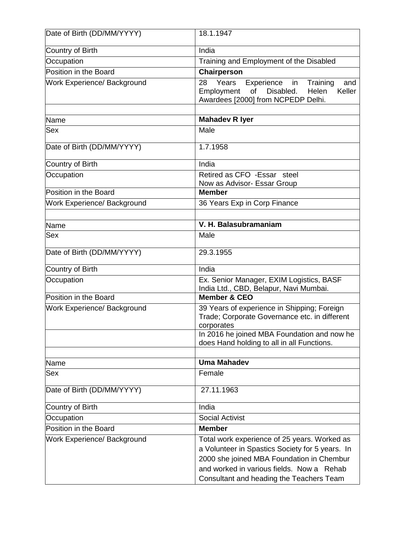| Date of Birth (DD/MM/YYYY)         | 18.1.1947                                                                                                                                                                                                                             |
|------------------------------------|---------------------------------------------------------------------------------------------------------------------------------------------------------------------------------------------------------------------------------------|
| Country of Birth                   | India                                                                                                                                                                                                                                 |
| Occupation                         | Training and Employment of the Disabled                                                                                                                                                                                               |
| Position in the Board              | Chairperson                                                                                                                                                                                                                           |
| Work Experience/ Background        | Years<br>Experience<br>Training<br>28<br>in<br>and<br>Disabled.<br>Keller<br>Employment<br>of<br>Helen<br>Awardees [2000] from NCPEDP Delhi.                                                                                          |
| Name                               | <b>Mahadev R Iyer</b>                                                                                                                                                                                                                 |
| Sex                                | Male                                                                                                                                                                                                                                  |
| Date of Birth (DD/MM/YYYY)         | 1.7.1958                                                                                                                                                                                                                              |
| Country of Birth                   | India                                                                                                                                                                                                                                 |
| Occupation                         | Retired as CFO - Essar steel<br>Now as Advisor- Essar Group                                                                                                                                                                           |
| Position in the Board              | <b>Member</b>                                                                                                                                                                                                                         |
| Work Experience/ Background        | 36 Years Exp in Corp Finance                                                                                                                                                                                                          |
|                                    |                                                                                                                                                                                                                                       |
| Name                               | V. H. Balasubramaniam                                                                                                                                                                                                                 |
| Sex                                | Male                                                                                                                                                                                                                                  |
| Date of Birth (DD/MM/YYYY)         | 29.3.1955                                                                                                                                                                                                                             |
| Country of Birth                   | India                                                                                                                                                                                                                                 |
| Occupation                         | Ex. Senior Manager, EXIM Logistics, BASF<br>India Ltd., CBD, Belapur, Navi Mumbai.                                                                                                                                                    |
| Position in the Board              | <b>Member &amp; CEO</b>                                                                                                                                                                                                               |
| <b>Work Experience/ Background</b> | 39 Years of experience in Shipping; Foreign<br>Trade; Corporate Governance etc. in different<br>corporates                                                                                                                            |
|                                    | In 2016 he joined MBA Foundation and now he<br>does Hand holding to all in all Functions.                                                                                                                                             |
| Name                               | <b>Uma Mahadev</b>                                                                                                                                                                                                                    |
| Sex                                | Female                                                                                                                                                                                                                                |
| Date of Birth (DD/MM/YYYY)         | 27.11.1963                                                                                                                                                                                                                            |
| Country of Birth                   | India                                                                                                                                                                                                                                 |
| Occupation                         | <b>Social Activist</b>                                                                                                                                                                                                                |
| Position in the Board              | <b>Member</b>                                                                                                                                                                                                                         |
| Work Experience/ Background        | Total work experience of 25 years. Worked as<br>a Volunteer in Spastics Society for 5 years. In<br>2000 she joined MBA Foundation in Chembur<br>and worked in various fields. Now a Rehab<br>Consultant and heading the Teachers Team |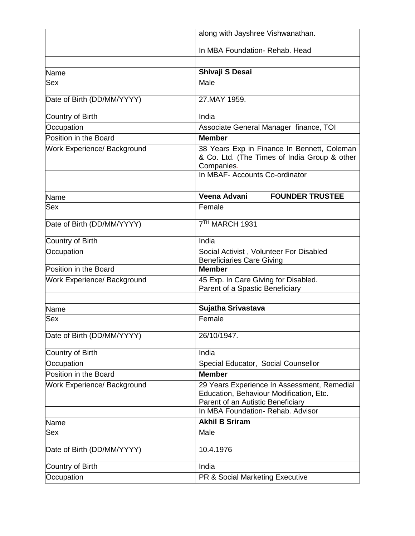|                             | along with Jayshree Vishwanathan.                                                                                                                                |
|-----------------------------|------------------------------------------------------------------------------------------------------------------------------------------------------------------|
|                             | In MBA Foundation- Rehab. Head                                                                                                                                   |
|                             |                                                                                                                                                                  |
| Name                        | Shivaji S Desai                                                                                                                                                  |
| Sex                         | Male                                                                                                                                                             |
| Date of Birth (DD/MM/YYYY)  | 27.MAY 1959.                                                                                                                                                     |
| Country of Birth            | India                                                                                                                                                            |
| Occupation                  | Associate General Manager finance, TOI                                                                                                                           |
| Position in the Board       | <b>Member</b>                                                                                                                                                    |
| Work Experience/ Background | 38 Years Exp in Finance In Bennett, Coleman<br>& Co. Ltd. (The Times of India Group & other<br>Companies.                                                        |
|                             | In MBAF- Accounts Co-ordinator                                                                                                                                   |
|                             |                                                                                                                                                                  |
| Name                        | Veena Advani<br><b>FOUNDER TRUSTEE</b>                                                                                                                           |
| Sex                         | Female                                                                                                                                                           |
| Date of Birth (DD/MM/YYYY)  | 7TH MARCH 1931                                                                                                                                                   |
| Country of Birth            | India                                                                                                                                                            |
| Occupation                  | Social Activist, Volunteer For Disabled                                                                                                                          |
| Position in the Board       | <b>Beneficiaries Care Giving</b><br><b>Member</b>                                                                                                                |
| Work Experience/ Background | 45 Exp. In Care Giving for Disabled.                                                                                                                             |
|                             | Parent of a Spastic Beneficiary                                                                                                                                  |
|                             | Sujatha Srivastava                                                                                                                                               |
| Name<br><b>Sex</b>          | Female                                                                                                                                                           |
|                             |                                                                                                                                                                  |
| Date of Birth (DD/MM/YYYY)  | 26/10/1947.                                                                                                                                                      |
| Country of Birth            | India                                                                                                                                                            |
| Occupation                  | Special Educator, Social Counsellor                                                                                                                              |
| Position in the Board       | <b>Member</b>                                                                                                                                                    |
| Work Experience/ Background | 29 Years Experience In Assessment, Remedial<br>Education, Behaviour Modification, Etc.<br>Parent of an Autistic Beneficiary<br>In MBA Foundation- Rehab. Advisor |
| Name                        | <b>Akhil B Sriram</b>                                                                                                                                            |
| Sex                         | Male                                                                                                                                                             |
| Date of Birth (DD/MM/YYYY)  | 10.4.1976                                                                                                                                                        |
| Country of Birth            | India                                                                                                                                                            |
| Occupation                  | PR & Social Marketing Executive                                                                                                                                  |